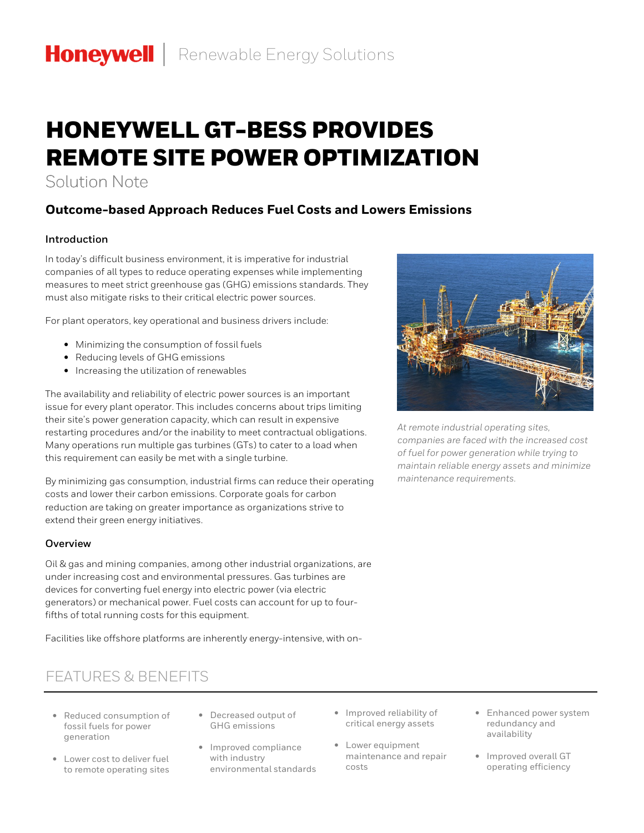# HONEYWELL GT-BESS PROVIDES REMOTE SITE POWER OPTIMIZATION

Solution Note

# **Outcome-based Approach Reduces Fuel Costs and Lowers Emissions**

## **Introduction**

In today's difficult business environment, it is imperative for industrial companies of all types to reduce operating expenses while implementing measures to meet strict greenhouse gas (GHG) emissions standards. They must also mitigate risks to their critical electric power sources.

For plant operators, key operational and business drivers include:

- Minimizing the consumption of fossil fuels
- Reducing levels of GHG emissions
- Increasing the utilization of renewables

The availability and reliability of electric power sources is an important issue for every plant operator. This includes concerns about trips limiting their site's power generation capacity, which can result in expensive restarting procedures and/or the inability to meet contractual obligations. Many operations run multiple gas turbines (GTs) to cater to a load when this requirement can easily be met with a single turbine.

By minimizing gas consumption, industrial firms can reduce their operating costs and lower their carbon emissions. Corporate goals for carbon reduction are taking on greater importance as organizations strive to extend their green energy initiatives.

### **Overview**

Oil & gas and mining companies, among other industrial organizations, are under increasing cost and environmental pressures. Gas turbines are devices for converting fuel energy into electric power (via electric generators) or mechanical power. Fuel costs can account for up to fourfifths of total running costs for this equipment.

Facilities like offshore platforms are inherently energy-intensive, with on-

# FEATURES & BENEFITS

- Reduced consumption of fossil fuels for power generation
- Lower cost to deliver fuel to remote operating sites
- Decreased output of GHG emissions
- Improved compliance with industry environmental standards
- Improved reliability of critical energy assets
- Lower equipment maintenance and repair costs
- Enhanced power system redundancy and availability
- Improved overall GT operating efficiency



*At remote industrial operating sites, companies are faced with the increased cost of fuel for power generation while trying to maintain reliable energy assets and minimize maintenance requirements.*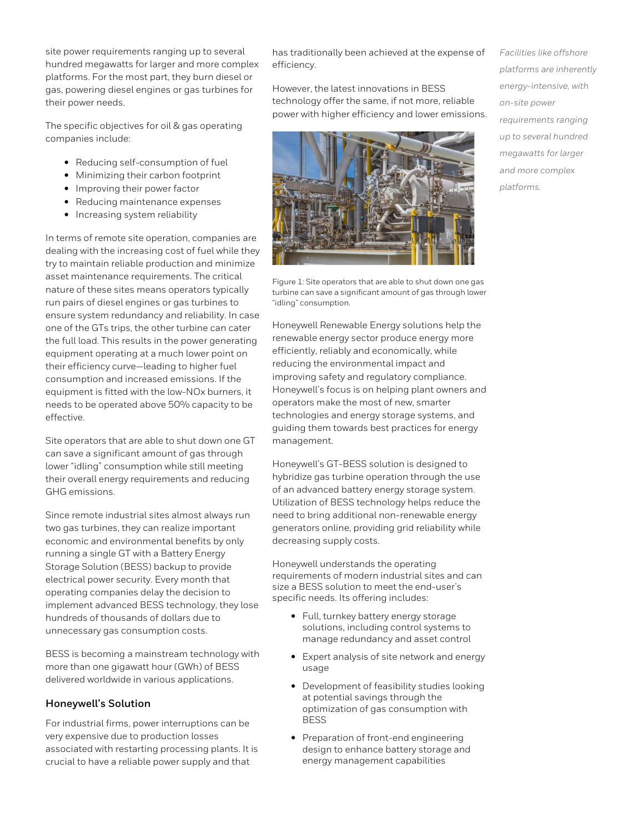site power requirements ranging up to several hundred megawatts for larger and more complex platforms. For the most part, they burn diesel or gas, powering diesel engines or gas turbines for their power needs.

The specific objectives for oil & gas operating companies include:

- Reducing self-consumption of fuel
- Minimizing their carbon footprint
- Improving their power factor
- Reducing maintenance expenses
- Increasing system reliability

In terms of remote site operation, companies are dealing with the increasing cost of fuel while they try to maintain reliable production and minimize asset maintenance requirements. The critical nature of these sites means operators typically run pairs of diesel engines or gas turbines to ensure system redundancy and reliability. In case one of the GTs trips, the other turbine can cater the full load. This results in the power generating equipment operating at a much lower point on their efficiency curve—leading to higher fuel consumption and increased emissions. If the equipment is fitted with the low-NOx burners, it needs to be operated above 50% capacity to be effective.

Site operators that are able to shut down one GT can save a significant amount of gas through lower "idling" consumption while still meeting their overall energy requirements and reducing GHG emissions.

Since remote industrial sites almost always run two gas turbines, they can realize important economic and environmental benefits by only running a single GT with a Battery Energy Storage Solution (BESS) backup to provide electrical power security. Every month that operating companies delay the decision to implement advanced BESS technology, they lose hundreds of thousands of dollars due to unnecessary gas consumption costs.

BESS is becoming a mainstream technology with more than one gigawatt hour (GWh) of BESS delivered worldwide in various applications.

#### **Honeywell's Solution**

For industrial firms, power interruptions can be very expensive due to production losses associated with restarting processing plants. It is crucial to have a reliable power supply and that

has traditionally been achieved at the expense of efficiency.

However, the latest innovations in BESS technology offer the same, if not more, reliable power with higher efficiency and lower emissions.



Figure 1: Site operators that are able to shut down one gas turbine can save a significant amount of gas through lower "idling" consumption.

Honeywell Renewable Energy solutions help the renewable energy sector produce energy more efficiently, reliably and economically, while reducing the environmental impact and improving safety and regulatory compliance. Honeywell's focus is on helping plant owners and operators make the most of new, smarter technologies and energy storage systems, and guiding them towards best practices for energy management.

Honeywell's GT-BESS solution is designed to hybridize gas turbine operation through the use of an advanced battery energy storage system. Utilization of BESS technology helps reduce the need to bring additional non-renewable energy generators online, providing grid reliability while decreasing supply costs.

Honeywell understands the operating requirements of modern industrial sites and can size a BESS solution to meet the end-user's specific needs. Its offering includes:

- Full, turnkey battery energy storage solutions, including control systems to manage redundancy and asset control
- Expert analysis of site network and energy usage
- Development of feasibility studies looking at potential savings through the optimization of gas consumption with BESS
- Preparation of front-end engineering design to enhance battery storage and energy management capabilities

*Facilities like offshore platforms are inherently energy-intensive, with on-site power requirements ranging up to several hundred megawatts for larger and more complex platforms.*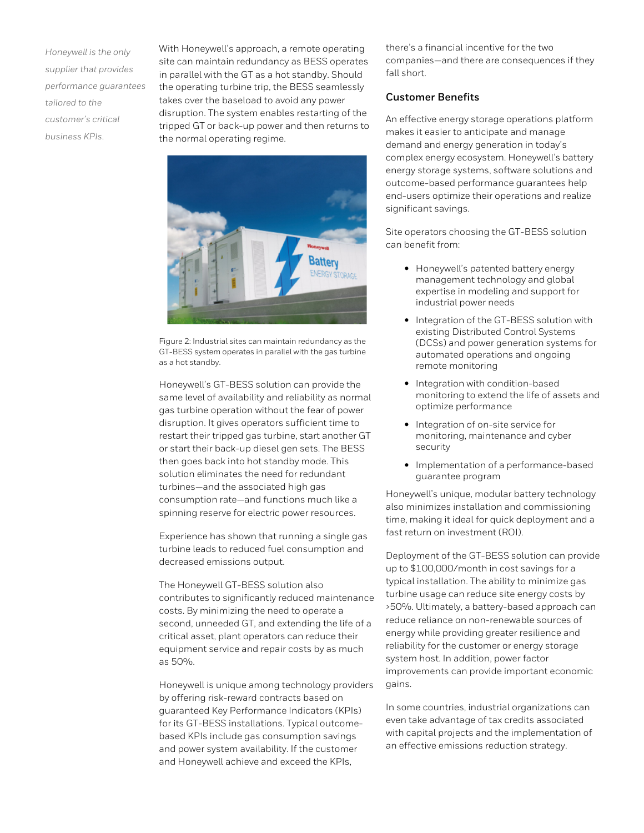*Honeywell is the only supplier that provides performance guarantees tailored to the customer's critical business KPIs*.

With Honeywell's approach, a remote operating site can maintain redundancy as BESS operates in parallel with the GT as a hot standby. Should the operating turbine trip, the BESS seamlessly takes over the baseload to avoid any power disruption. The system enables restarting of the tripped GT or back-up power and then returns to the normal operating regime.



Figure 2: Industrial sites can maintain redundancy as the GT-BESS system operates in parallel with the gas turbine as a hot standby.

Honeywell's GT-BESS solution can provide the same level of availability and reliability as normal gas turbine operation without the fear of power disruption. It gives operators sufficient time to restart their tripped gas turbine, start another GT or start their back-up diesel gen sets. The BESS then goes back into hot standby mode. This solution eliminates the need for redundant turbines—and the associated high gas consumption rate—and functions much like a spinning reserve for electric power resources.

Experience has shown that running a single gas turbine leads to reduced fuel consumption and decreased emissions output.

The Honeywell GT-BESS solution also contributes to significantly reduced maintenance costs. By minimizing the need to operate a second, unneeded GT, and extending the life of a critical asset, plant operators can reduce their equipment service and repair costs by as much as 50%.

Honeywell is unique among technology providers by offering risk-reward contracts based on guaranteed Key Performance Indicators (KPIs) for its GT-BESS installations. Typical outcomebased KPIs include gas consumption savings and power system availability. If the customer and Honeywell achieve and exceed the KPIs,

there's a financial incentive for the two companies—and there are consequences if they fall short.

#### **Customer Benefits**

An effective energy storage operations platform makes it easier to anticipate and manage demand and energy generation in today's complex energy ecosystem. Honeywell's battery energy storage systems, software solutions and outcome-based performance guarantees help end-users optimize their operations and realize significant savings.

Site operators choosing the GT-BESS solution can benefit from:

- Honeywell's patented battery energy management technology and global expertise in modeling and support for industrial power needs
- Integration of the GT-BESS solution with existing Distributed Control Systems (DCSs) and power generation systems for automated operations and ongoing remote monitoring
- Integration with condition-based monitoring to extend the life of assets and optimize performance
- Integration of on-site service for monitoring, maintenance and cyber security
- Implementation of a performance-based guarantee program

Honeywell's unique, modular battery technology also minimizes installation and commissioning time, making it ideal for quick deployment and a fast return on investment (ROI).

Deployment of the GT-BESS solution can provide up to \$100,000/month in cost savings for a typical installation. The ability to minimize gas turbine usage can reduce site energy costs by >50%. Ultimately, a battery-based approach can reduce reliance on non-renewable sources of energy while providing greater resilience and reliability for the customer or energy storage system host. In addition, power factor improvements can provide important economic gains.

In some countries, industrial organizations can even take advantage of tax credits associated with capital projects and the implementation of an effective emissions reduction strategy.